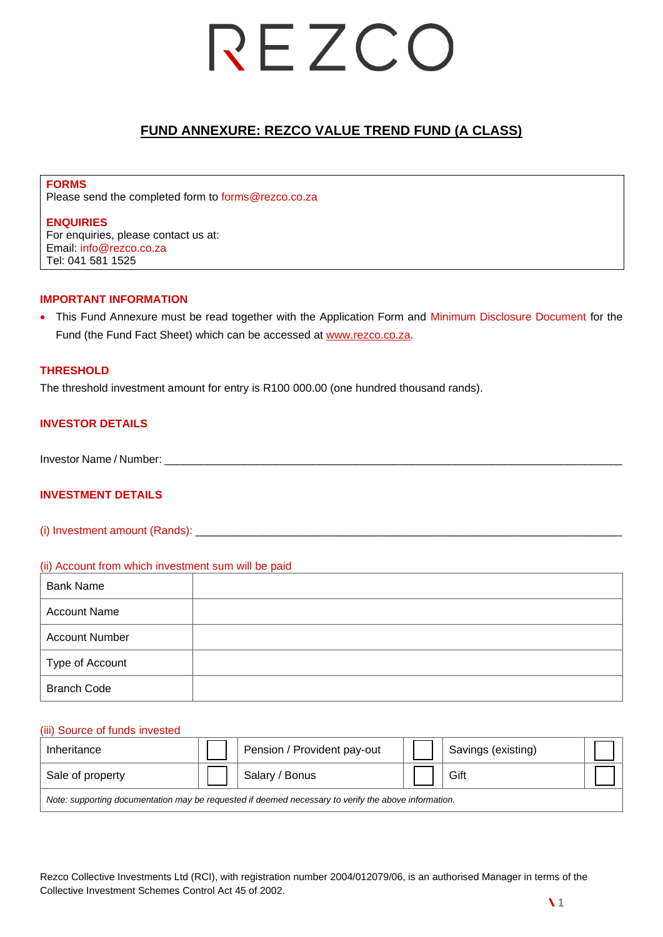## REZCO

## **FUND ANNEXURE: REZCO VALUE TREND FUND (A CLASS)**

**FORMS** Please send the completed form to [forms@rezco.co.za](mailto:forms@rezco.co.za)

### **ENQUIRIES**

For enquiries, please contact us at: Email: info@rezco.co.za Tel: 041 581 1525

### **IMPORTANT INFORMATION**

• This Fund Annexure must be read together with the Application Form and Minimum Disclosure Document for the Fund (the Fund Fact Sheet) which can be accessed at [www.rezco.co.za.](http://www.rezco.co.za/)

### **THRESHOLD**

The threshold investment amount for entry is R100 000.00 (one hundred thousand rands).

### **INVESTOR DETAILS**

Investor Name / Number:

### **INVESTMENT DETAILS**

(i) Investment amount (Rands): \_\_\_\_\_\_\_\_\_\_\_\_\_\_\_\_\_\_\_\_\_\_\_\_\_\_\_\_\_\_\_\_\_\_\_\_\_\_\_\_\_\_\_\_\_\_\_\_\_\_\_\_\_\_\_\_\_\_\_\_\_\_\_\_\_\_\_\_\_

### (ii) Account from which investment sum will be paid

| <b>Bank Name</b>      |  |
|-----------------------|--|
| <b>Account Name</b>   |  |
| <b>Account Number</b> |  |
| Type of Account       |  |
| <b>Branch Code</b>    |  |

### (iii) Source of funds invested

| Inheritance                                                                                          |  | Pension / Provident pay-out |  | Savings (existing) |  |  |
|------------------------------------------------------------------------------------------------------|--|-----------------------------|--|--------------------|--|--|
| Sale of property                                                                                     |  | Salary / Bonus              |  | Gift               |  |  |
| Note: supporting documentation may be requested if deemed necessary to verify the above information. |  |                             |  |                    |  |  |

Rezco Collective Investments Ltd (RCI), with registration number 2004/012079/06, is an authorised Manager in terms of the Collective Investment Schemes Control Act 45 of 2002.